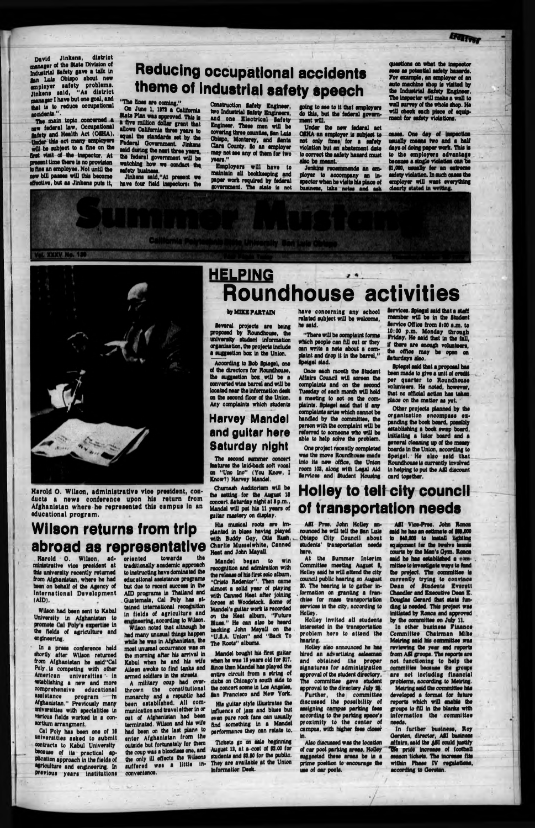David Jlnkens, district manager of the State Division of Industrial Safety gave a talk In Ian Lula Obiapo about new employer safety problems. Jinkens said, "As district manager I have but one goal, and that is to reduce occupational aoddents." .

The main topic concerned a new federal law, Occupational gaiety and Health Act (OSHA). Under this act many employers will be subject to a fine on the first visit of the Inspector. At present time there Is no provision to fine an employee. Not until the new bill paaeee will this become effective, but as Jlnkens puts It,

# **Reducing occupational accidents theme of industrial safety speech**

"The fines are coming." On June 1, 1973 a California

> Under the new federal act Of HA an employer Is subject to not only fines for a safety violation but an abatement date to correct the safety hasard must also be meant.

Jenkins recommends an employer to accompany an Inspector when he visits Ms plaoe of business, take notes and ask clearly stated in writing.

State Plan was approved. This Is a five million dollar grant that allows California three years to equal the standards set by the Federal Government. Jlnkens said during the next three years. the federal government will be watching how we conduct the safety business.

Jlnkens sald,"At present we have four field Inspectors: the

# **HELPING Roundhouse activities**

#### by **MIKE PARTAIN**  $\mathbf{v} = \mathbf{v}$  . The set of  $\mathbf{v}$  and  $\mathbf{v}$

Construction Safety Engineer, two Industrial Safety Engineers, and one Electrical Safety Engineer. Thsoe men will be covering three counties, gan Luis Obispo, Monterey, and Santa Clara County. So an employer may not see any of them for two years." .

Employers will have to maintain all bookkeeping and paper work required by federal government. The state Is not

ministrative vice president at traditionally-academic-approach<br>this-university-recently-returned - to-instructing-have-dominated-thethis university recently returned<br>from Afghanistan, where he had been on behalf of the Agency of International Development (AID).

going to see to It that employers do this, but the federal government will.

Wilson had been sent to Kabul<br>University in Afghanistan to University in Afghanistan to engineering, according to Wilson. the fields of agriculture and had many unusual things happen the fields of agriculture and engineering.

> A military coup had overthrown the constitutional monarchy and a republic had been established. All com-<br>munication and travel either in or terminated. Wilson and his wife had been on the last plane to enter Afghanistan from the outside but fortunately for them the only ill effects the wilsons suffered was a little in-

questions on what the Inspector sees as potential safety haaards. For example, an employer of an auto machine shop is visited by the Industrial Safety Engineer. The Inspector will make a wall to wall survey of the whole shop. He will check each piece of equipment for safety violations.

oases. One day of Inspection usually means two and a half days of doing paper work. This Is to the employers advantage because a single violation oan he 91,000, usually for an extreme safety violation. In such cases the employer will want everything

**XXXV No. 1** 



because of its practical ap-<br>plication approach in the fields of the only ill effects the Wilsons agriculture and engineering. Inprevious years Institutions convenience. Cel Poly has been one of If universities asked to submit contracts to Kabul University because of Its practical ap-

Harold O. Wilson, ad- oriented towards the<br>inistrative vice president at traditionally academic approach educational assistance programs Wilson noted that although he but due to recent succees In the AID programs In Thailand and Guatemala, Cal Poly has attained international recognition In fields of agriculture and while he was In Afghanistan, the moet unusual occurrence was on the morning after his arrival In Kabul when he and his wife Aileen awoke to find tanks end armed soldiers in the streets.

Harold 0. Wilson, administrative vice president, conducts a news conference upon his return from Afghanistan where he represented this esmpus in an educational program.

# **Wilson returns from trip abroad as representative**

Mandel bought Ms first guitar when he was 16 years old for \$17. Since then Mandel has played the entire circuit from a string of dubs on Chicago's south side to the concert scene In Loo Angeles, fan Francisco and New York. per quarter to Roundhouse volunteers. Ho noted, however, that no official action has taken place on the matter as yet.

In a press conference held ■hortly after Wilson returned from Afghanistan he said"Cal Poly Is competing with other American universities - in establishing a new and more comprehensive educational assistance program in Afghanistan." Previously many universities with specialities in munication and travel either in or<br>various fields worked in a con- out of Afghanistan had been various fields worked in a con-•ortlum arrangment.

ASI Vice-Pros, John Ronca said ho has an estimate of \$11,000 to 140.000 to Install Uahtlna equipment for the twelve tennis courts by the Men's Oym. Ronca

Several projects are being proposed by Roundhouse, the university student Information organisation, the projects Include a suggestion box In the Union.

> said he has established a committee to Investigate ways to fund the project. The committee Is currently trying to convince Dean of Students Everett Chandler and Executive Dean E. Douglas Gerard that state flatding is needed. This project was Initiated by Ronca and approved by the committee on July 11.

Acoording to Bob Spiegel, one of the directors for Roundhouse, the suggestion box will be a oonvarted wine barrel and will be located near the Information desk on the second floor of the Union. Any complaints which students

> In other business Finance Committee Chairman Mike Metring said his committee was reviewing the year and reports from AM groups. The reports are not functioning to help the committee because the groups are not Including financial problems, according to Meiring. Moiring said the committee has developed a format for future reports which will enable the poups to All in the blanks with information the committee needs.

### **Harvey Mandel and guitar here Saturday night**

In further business, Roy Gersten, director, ASI business affairs, said the ASI could justify Uta price increase of football season tickets. The Increase fits within Phase IV regulations, according to Oersten.

The second summer concert features the laid-back soft vocal on "Uno Ino" (You Know, I Know?) Harvey Mandel.

Chumash Auditorium will be the setting for the August II concert. Saturday night at 8 p.m., Mandel will put his 11 years of guitar mastery on display.

His musical roots are Implanted In blues having played with Buddy Guy, Otis Rush,. Charlie Musselwhlte, Canned Heat and John Mayall.

Mandel began to win recognition and admiration with the release of his first solo album, "Cristo Redentor", Then came almost a solid year of playing with Canned Heat after Joining (brcoo at Woodstock, lome of Mendel's guitar work Is recorded on the Heat album, "Future Blues." He can also be heard backing John Mayall on the "UJ.A. Union" and "Back To The Roots" albums.

His guitar style Illustrates the influence of jazz and blues but even pure rock fans can usually find something In a Mandel performance they can relate to.

Tickets go on sale beginning August 13, at a cost of 02.00 for students and \$1.60 for the public. They are available at the Union Informatior Desk.

have concerning any school related subject will be welcome, he said.

"There will be complaint forms which people can fill out or they can write a note about a complaint and drop it In the barrel," Ipelgel sled.

Once each month the ftudent Affairs Council will screen the complaints and on the second Tuesday of each month will hold a meeting to act on the complaints. Spiegel said that If any complaints arise which cannot be handled by the committee, the person with the complaint will be referred to someone who will be able to help solve the problem.

One project recently completed was the move Roundhouse made into its new office, the Union room 101, along with Legal Aid Services and Student Housing Services. Spiegel said that a staff

member will be In the Student Service Office from 8:00 a.m. to 10:00 p.m. Monday through Friday. He Mid that In the fall, If there are enough volunteers, the office may be open on Saturdays also. Spiogol said that a proposal has been made to give a unit of credit

> Other projects planned by the organisation encompass expanding the book board, poeeibly establishing a book swap board, Initiating a tutor board and a general cleaning up of the meooy boards In the Union, acoording to Spoigel. He also said that Roundhouse Is currently Involved In helping to put the All discount card together,

# **Holley to tell city council of transportation needs**

ASI Pres. John Holley announced he will toll the San Luis Obispo City Council about students' transportation needs here.

At the Summer Interim Committee meeting August I, Holley said ho will attend the city council public hearing on August 90. The hearing Is to gather Information on granting a franchise for mass transportation services in the city, according to Holley.

Holley Invited all students Interested In the transportation problem here to attend the hearing.

Holley also announced he has Mred an advertising salesman and obtained the proper signatures for administration approval of the student directory. The committee gave student approval to the directory July 26. Further, the committee discussed the possibility of assigning campus parking fees according to the parking space's proximity to the center of campus, with higher fees closer In.

Also discussed was the location of car pool parking areas. Holley suggested these areas be in a prime position to encourage the use of car pools.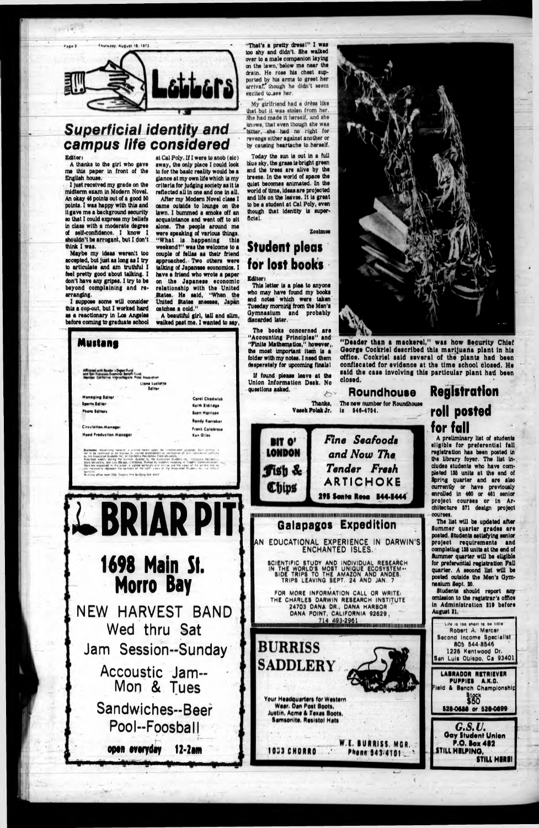

### **Superficial identity and** campus life considered

#### Editor:

A thanks to the girl who gave me this paper in front of the English house.

I just received my grade on the midterm exam in Modern Novel. An okay 46 points out of a good 50 points. I was happy with this and it gave me a background security so that I could express my beliefs in class with a moderate degree of self-confidence. I know I shouldn't be arrogant, but I don't think I was.

Maybe my ideas weren't too accepted, but just as long as I try to articulate and am truthful I feel pretty good about talking. I don't have any gripes. I try to be beyond complaining and rearranging.

I suppose some will consider this a cop-out, but I worked hard as a reactionary in Los Angeles before coming to graduate school

at Cal Poly. If I were to anob (sic) away, the only place I could look to for the basic reality would be a glance at my own life which is my criteria for judging society as it is reflected all in one and one in all.

After my Modern Novel class I came outside to lounge on the lawn. I bummed a smoke off an acquaintance and went off to sit alone. The people around me were speaking of various things. "What is happening this weekend?" was the welcome to a couple of fellas as their friend approached. Two others were talking of Japanese economics. I have a friend who wrote a paper on the Japanese economic relationship with the United States. He said, "When the United States sneezes, Japan catches a cold."

A beautiful girl, tall and slim, walked past me. I wanted to say,

"That's a pretty dress!" I was too shy and didn't. She walked over to a male companion laying on the lawn, below me near the drain. He rose his chest supported by his arms to greet her arrival. though he didn't seem excited to see her.

My girlfriend had a dress like that but it was atolen from her. She had made it herself, and she knows, that even though she was bitter, she had no right for revenge either against another or by causing heartache to herself.

Today the sun is out in a full blue sky, the grass is bright green and the trees are alive by the breeze. In the world of space the quiet becomes animated. In the world of time, ideas are projected and life on the leaves. It is great to be a student at Cal Poly, even though that identity is superficial.

#### Zosimos

### **Student pleas** for lost books

**Editor** This letter is a plea to anyone who may have found my books and notes which were taken Tuesday morning from the Men's Gymnasium and probably discarded later.

The books concerned are "Accounting Principles" and "Finite Mathematics," however,.



"Deader than a mackerel." was how Security Chief George Cockriel described this marijuana plant in his office. Cockriel said several of the plants had been confiscated for evidence at the time school closed. He said the case involving this particular plant had been

### **Roundhouse**

is 546-4754.

Fine Seafoods **BIT O' LONDON** and Now The Tender Fresh *fish* & **ARTICHOKE** Chips **295 Senta Resa 544-5444 Galapagos Expedition** 

## **Registration** roll posted for fall

A preliminary list of students eligible for preferential fall registration has been posted in the library foyer. The list includes students who have completed 135 units at the end of apring quarter and are also currently or have previously enrolled in 460 or 461 senior project courses or in Architecture 571 design project COUPROS.

The list will be updated after Summer quarter grades are posted. Students satisfying senior project requirements and completius 135 units at the end of Summer quarter will be eligible



Robert A. Mercer Second Income Specialist 805 544-8546 1226 Kentwood Dr. San Luis Obispo, Ca 93401 **LABRADOR RETRIEVER** PUPPIES A.K.C. ield & Bench Championship **Stock**<br>\$60 528-0688 or 528-0899 G.S.U. **Gay Student Union** P.O. Box 482 STILL HELPING. **STILL HERE!**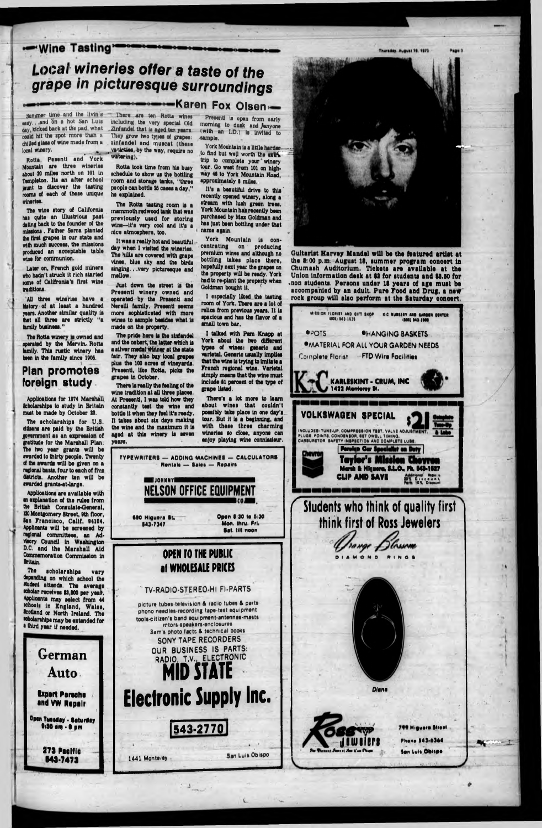#### -Wine Tasting\*

# **Local wineries offer a taste of the** *grape in picturesque surroundings*

Summer time and the livin's ussy... and on a hot San Luis day, kicked back at the pad, what could hit the spot more than a chilled glass of wine made from a local winery.

Rotta, Peaentl and York Mountain are three wineries about 20 miles north on 101 in Tampleton. Its an after school jaunt to discover the tasting rooms of each of these unique wineries.

All three wineries have a history of at least a hundred years. Another similar quality Is that all three are strictly "a family business."

The Rotta winery Is owned and operated by the Mervln. Rotta family. This rustic winery has been in the family since 1905.

The wine story of California has quite an Illustrious past dating back to the founder of the missions . Father Serra planted the first grapes In our state and with much success, the missions produced an acceptable table wine for communion.

The scholarships for U.S. dtisens are paid by the British lovsmmont as an expression of padtude for the Marshall Plan. The two year grants will be swarded to thirty people. Twenty of the awards will be given on a regional basis, four to each of five districts. Another ten will be awarded grants-at-large.

Later on, French gold miners who hadn't struck It rich started tome of Callfronla's first wine traditions.

The scholarships vary depending on which school the student attends. The average •cholar receives \$3,800 per yeas. Applicants may select from 44 whooli in England, Wales, Scotland or North Ireland. The •cholarshlps may be extended for a third year if needed.

> **Expert Porscha •nd VW Repair** ... f

### **Plan promotes foreign study**

Open Tuesday - Saturday •'3 0 am • • pm

Applications for 1974 Marshall Scholarships to study In Britain must bo made by October 23.

The Rotta tasting room is a mammoth redwood tank that was previously used for storing wine—It's very cool and It's a nice atmosphere, too,

Just down the street is the Presenti winery owned and operated by the Presentl and Nerelli family. Presenti seems more sophisticated with more wines to sample besides what Is made on the property.

Applications are available with an explanation of the rules from the British Consulate-General. 120 Montgomery Street, 9th floor, San Francisco, Calif, 94104. Applicants will be screened by regional committees, an Advlsory Council In Washington D.C. and the Marshall Aid Commemoration Commission In

The pride here is the sinfandel and the cabert, the latter which la a silver medal Winner at the state fair. They also buy local grapes plus the 100 acres of vineyards. Presentl, like Rotta, picks the grapes In October.

There la really the feeling of the wine tradition at all three places. At Presentl, I was told how they constantly teat the wine and bottle it when they feel It's ready. It takes about six days making the wine and the maximum It la aged at this winery is seven years.

#### Britain.

Presentl is open from early morning to dusk and /anyone (with an I.D.) Is Invited to sample.

**Bombookaren Fox Olsen** 

# **German Auto**

*J*

**273 Pacific 843-7473**

### **at WHOLESALE PRICES**

There are ton Rotta wines including the very special Old Zinfandel that is aged ten years. They grow two types of grapes: zinfandel and muscat (these varieties, by the way, require no watering),

Rotta took time from his busy schedule to show us the bottling room and storage tanks, "three people can bottle 20 cases a day," ho explained.

It was a really hot and beautiful, day when I visited the wineries. The hills are covered with grape vines, blue sky and the birds singing., .very picturesque and mellow.

> picture tubes-televisicn & radio tubes *l* parti phono needles-recording tape-test equipment tools-c Itlien's band equipment-antennas-masts rotors-speakers-enclosures Sam's photo facte A technical books **SONY TAPE RECORDERS OUR BUSINESS IS PARTS: RADIO, T.V., ELECTRONIC** <u>mid State</u>

> > **Pkane 841-4344** Sen Luis.Ohispe

York Mountain is a little harder to find but well worth the extritrip to complete your winery tour. Qo west from 101 on highway 40 to York Mountain Road, approximately 8 miles.

It's a beautiful drive to this' recently opened winery, along a stream with lush green trees. York Mountain has recently been purchased by Max Goldman and has Just been bottling under that name again,

York Mountain Is concentrating on producing premium wines and although no bottling takes placs there, hopefully next year the grapes on the property will be ready. York had to re-plant the property when *'*Goldman bought It.

I especially liked the tasting room of York. There are a lot of relics from previous years. It Is spacious and has the flavor of a small town bar.

I talked with Pam Knapp at York about the two different types of wines: generic and varietal. Generic usually Implies that the wins Is trying to Imitate a French regional wine. Varietal simply means that the wine must Include 81 percent of the type of grape listed.

There's a lot more to learn about wines that couldn't possibly take place In one day's tour. But It is a beginning, and with these three charming wineries so close, anyone can enjoy playing wine connlssleur.

Guitarist Harvey Mandel will be the featured artist at the 8:00 p.m. August 18, summer program oonoert in Chumash Auditorium. Tickets are available at the Union information desk at \$8 for students and \$8.80 for -non students. Persons under IS years of age must be accompanied by an adult. Pure Food and Drug, a new rock group will also perform at the Saturday concert.







#### **' TV-RADIO-STEREO-HI FI-PARTS**

# Electronic Supply Inc.

543-2770

1441 Monteley San Luis Obispo



OIAMONO WINOt

D/ana



**Hifwere Strati**